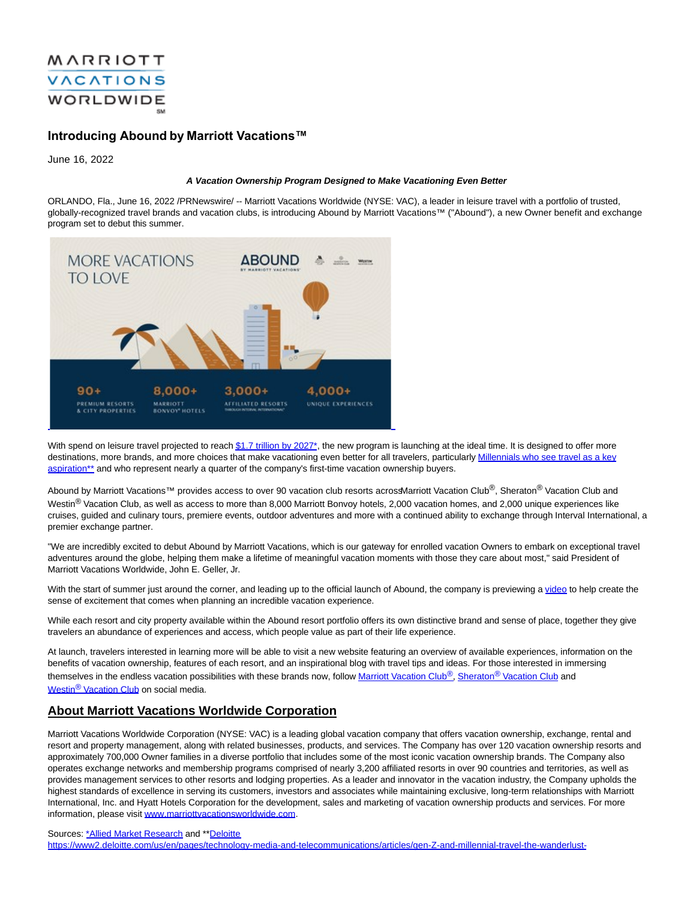

## **Introducing Abound by Marriott Vacations™**

June 16, 2022

## **A Vacation Ownership Program Designed to Make Vacationing Even Better**

ORLANDO, Fla., June 16, 2022 /PRNewswire/ -- Marriott Vacations Worldwide (NYSE: VAC), a leader in leisure travel with a portfolio of trusted, globally-recognized travel brands and vacation clubs, is introducing Abound by Marriott Vacations™ ("Abound"), a new Owner benefit and exchange program set to debut this summer.



With spend on leisure travel projected to reac[h \\$1.7 trillion by 2027\\*,](https://c212.net/c/link/?t=0&l=en&o=3567793-1&h=3273294248&u=https%3A%2F%2Fwww.alliedmarketresearch.com%2Fleisure-travel-market%23%3A%7E%3Atext%3DThe%2520global%2520leisure%2520travel%2520market%2Cto%2520retain%2520its%2520dominance%2520throughout&a=%241.7+trillion+by+2027*) the new program is launching at the ideal time. It is designed to offer more destinations, more brands, and more choices that make vacationing even better for all travelers, particularly [Millennials who see travel as a key](https://c212.net/c/link/?t=0&l=en&o=3567793-1&h=1678908924&u=https%3A%2F%2Fwww2.deloitte.com%2Fus%2Fen%2Fpages%2Ftechnology-media-and-telecommunications%2Farticles%2Fgen-Z-and-millennial-travel-the-wanderlust-generations.html&a=Millennials+who+see+travel+as+a+key+aspiration**) aspiration\*\* and who represent nearly a quarter of the company's first-time vacation ownership buyers.

Abound by Marriott Vacations™ provides access to over 90 vacation club resorts acrossMarriott Vacation Club®, Sheraton® Vacation Club and Westin<sup>®</sup> Vacation Club, as well as access to more than 8,000 Marriott Bonvoy hotels, 2,000 vacation homes, and 2,000 unique experiences like cruises, guided and culinary tours, premiere events, outdoor adventures and more with a continued ability to exchange through Interval International, a premier exchange partner.

"We are incredibly excited to debut Abound by Marriott Vacations, which is our gateway for enrolled vacation Owners to embark on exceptional travel adventures around the globe, helping them make a lifetime of meaningful vacation moments with those they care about most," said President of Marriott Vacations Worldwide, John E. Geller, Jr.

With the start of summer just around the corner, and leading up to the official launch of Abound, the company is previewing a [video t](https://c212.net/c/link/?t=0&l=en&o=3567793-1&h=769068329&u=https%3A%2F%2Fspaces.hightail.com%2Freceive%2F6t9OQUSRlh&a=video)o help create the sense of excitement that comes when planning an incredible vacation experience.

While each resort and city property available within the Abound resort portfolio offers its own distinctive brand and sense of place, together they give travelers an abundance of experiences and access, which people value as part of their life experience.

At launch, travelers interested in learning more will be able to visit a new website featuring an overview of available experiences, information on the benefits of vacation ownership, features of each resort, and an inspirational blog with travel tips and ideas. For those interested in immersing themselves in the endless vacation possibilities with these brands now, follo[w Marriott Vacation Club](https://c212.net/c/link/?t=0&l=en&o=3567793-1&h=3348606551&u=https%3A%2F%2Fwww.facebook.com%2FMarriottVacationClub&a=Marriott+Vacation+Club%C2%AE)®, Sheraton® [Vacation Club a](https://c212.net/c/link/?t=0&l=en&o=3567793-1&h=3892633078&u=https%3A%2F%2Fwww.facebook.com%2FVistana%2F&a=Sheraton%C2%AE%C2%A0Vacation+Club)nd Westin<sup>®</sup> [Vacation Club o](https://c212.net/c/link/?t=0&l=en&o=3567793-1&h=994006377&u=https%3A%2F%2Fwww.facebook.com%2Fwestinvacationclub%2F&a=Westin%C2%AE%C2%A0Vacation+Club)n social media.

## **About Marriott Vacations Worldwide Corporation**

Marriott Vacations Worldwide Corporation (NYSE: VAC) is a leading global vacation company that offers vacation ownership, exchange, rental and resort and property management, along with related businesses, products, and services. The Company has over 120 vacation ownership resorts and approximately 700,000 Owner families in a diverse portfolio that includes some of the most iconic vacation ownership brands. The Company also operates exchange networks and membership programs comprised of nearly 3,200 affiliated resorts in over 90 countries and territories, as well as provides management services to other resorts and lodging properties. As a leader and innovator in the vacation industry, the Company upholds the highest standards of excellence in serving its customers, investors and associates while maintaining exclusive, long-term relationships with Marriott International, Inc. and Hyatt Hotels Corporation for the development, sales and marketing of vacation ownership products and services. For more information, please visi[t www.marriottvacationsworldwide.com.](https://c212.net/c/link/?t=0&l=en&o=3567793-1&h=3264469559&u=https%3A%2F%2Fwww.marriottvacationsworldwide.com&a=www.marriottvacationsworldwide.com) 

Sources: [\\*Allied Market Research a](https://c212.net/c/link/?t=0&l=en&o=3567793-1&h=742547705&u=https%3A%2F%2Fwww.alliedmarketresearch.com%2Fleisure-travel-market%23%3A%7E%3Atext%3DThe%2520global%2520leisure%2520travel%2520market%2Cto%2520retain%2520its%2520dominance%2520throughout&a=*Allied+Market+Research)nd \*[\\*Deloitte](https://c212.net/c/link/?t=0&l=en&o=3567793-1&h=2135803475&u=https%3A%2F%2Fwww2.deloitte.com%2Fus%2Fen%2Fpages%2Ftechnology-media-and-telecommunications%2Farticles%2Fgen-Z-and-millennial-travel-the-wanderlust-generations.html&a=Deloitte)

[https://www2.deloitte.com/us/en/pages/technology-media-and-telecommunications/articles/gen-Z-and-millennial-travel-the-wanderlust-](https://c212.net/c/link/?t=0&l=en&o=3567793-1&h=3623263531&u=https%3A%2F%2Fwww2.deloitte.com%2Fus%2Fen%2Fpages%2Ftechnology-media-and-telecommunications%2Farticles%2Fgen-Z-and-millennial-travel-the-wanderlust-generations.html&a=https%3A%2F%2Fwww2.deloitte.com%2Fus%2Fen%2Fpages%2Ftechnology-media-and-telecommunications%2Farticles%2Fgen-Z-and-millennial-travel-the-wanderlust-generations.html)